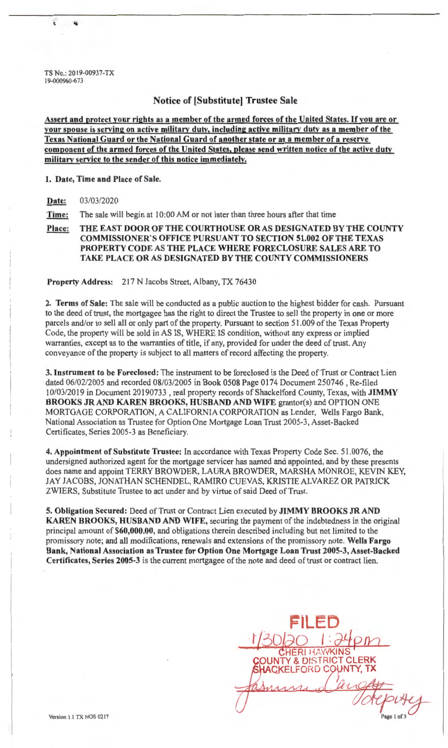TS No.: 2019-00937-TX 19-000960-673

### Notice of [Substitute] Trustee Sale

Assert and protect your rights as a member of the armed forces of the United States. If you are or your spouse is serving on active military duty, including active military duty as a member of the Texas National Guard or the National Guard of another state or as a member of a reserve component of the armed forces of the United States, please send written notice of the active duty military service to the sender of this notice immediately.

#### 1. Date, Time and Place of Sale.

Date: 03/03/2020

Time: The sale will begin at 10:00 AM or not later than three hours after that time

Place: THE EAST DOOR OF THE COURTHOUSE OR AS DESIGNATED BY THE COUNTY COMMISSIONER'S OFFICE PURSUANT TO SECTION 51.002 OF THE TEXAS PROPERTY CODE AS THE PLACE WHERE FORECLOSURE SALES ARE TO TAKE PLACE OR AS DESIGNATED BY THE COUNTY COMMISSIONERS

Property Address: 217 N Jacobs Street, Albany, TX 76430

2. Terms of Sale: The sale will be conducted as a public auction to the highest bidder for cash. Pursuant to the deed of trust, the mortgagee has the right to direct the Trustee to sell the property in one or more parcels and/or to sell all or only part of the property. Pursuant to section 51.009 of the Texas Property Code, the property will be sold in AS IS, WHERE IS condition, without any express or implied warranties, except as to the warranties of title, if any, provided for under the deed of trust. Any conveyance of the property is subject to all matters of record affecting the property.

3. Instrument to be Foreclosed: The instrument to be foreclosed is the Deed of Trust or Contract Lien dated 06/02/2005 and recorded 08/03/2005 in Book 0508 Page 0174 Document 250746, Re-filed l 0/03/2019 in Document 20190733 , real property records of Shackelford County, Texas, with JIMMY BROOKS JR AND KAREN BROOKS, HUSBAND AND WIFE grantor(s) and OPTION ONE MORTGAGE CORPORATION, A CALIFORNIA CORPORATION as Lender, Wells Fargo Bank, National Association as Trustee for Option One Mortgage Loan Trust 2005-3, Asset-Backed Certificates, Series 2005-3 as Beneficiary.

4. Appointment of Substitute Trustee: In accordance with Texas Property Code Sec. 51.0076, the undersigned authorized agent for the mortgage servicer has named and appointed, and by these presents does name and appoint TERRY BROWDER, LAURA BROWDER, MARSHA MONROE, KEVIN KEY, JAY JACOBS, JONATHAN SCHENDEL, RAMIRO CUEVAS, KRISTIE ALVAREZ OR PATRICK ZWIERS, Substitute Trustee to act under and by virtue of said Deed of Trust.

5. Obligation Secured: Deed of Trust or Contract Lien executed by JIMMY BROOKS JR AND KAREN BROOKS, HUSBAND AND WIFE, securing the payment of the indebtedness in the original principal amount of \$60,000.00, and obligations therein described including but not limited to the promissory note; and all modifications, renewals and extensions of the promissory note. Wells Fargo Bank, National Association as Trustee for Option One Mortgage Loan Trust 2005-3, Asset-Backed Certificates, Series 2005-3 is the current mortgagee of the note and deed of trust or contract lien.

FILED<br>1/30/20 1:24pm **CHERLHAWKINS OUNTY & DISTRICT CLERK** SHACKELFORD COUNTY, TX *l1!!zj--* Page 1 of 3

I

I

 $\overline{\phantom{a}}$ 

l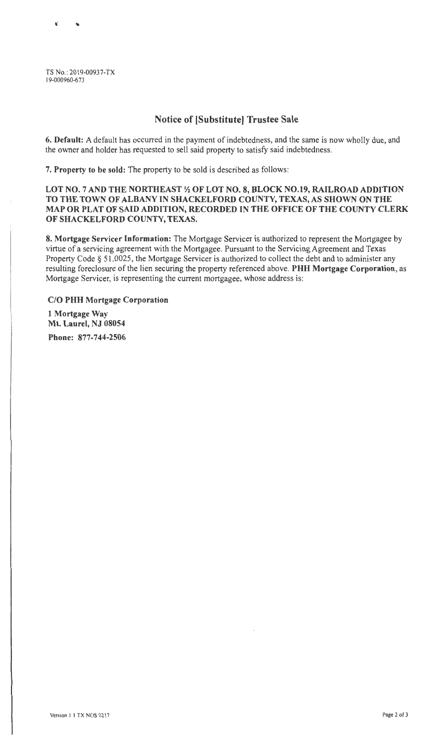TS No.: 2019-00937-TX 19-000960-673

# Notice of (Substitute] Trustee Sale

6. Default: A default has occurred in the payment of indebtedness, and the same is now wholly due, and the owner and holder has requested to sell said property to satisfy said indebtedness.

7. Property to be sold: The property to be sold is described as follows:

### LOT NO. 7 AND THE NORTHEAST *Yi* OF LOT NO. 8, BLOCK N0.19, RAILROAD ADDITION TO THE TOWN OF ALBANY IN SHACKELFORD COUNTY, TEXAS, AS SHOWN ON THE MAP OR PLAT OF SAID ADDITION, RECORDED IN THE OFFICE OF THE COUNTY CLERK OF SHACKELFORD COUNTY, TEXAS.

8. Mortgage Servicer Information: The Mortgage Servicer is authorized to represent the Mortgagee by virtue of a servicing agreement with the Mortgagee. Pursuant to the Servicing Agreement and Texas Property Code § 51.0025, the Mortgage Servicer is authorized to collect the debt and to administer any resulting foreclosure of the lien securing the property referenced above. PHH Mortgage Corporation, as Mortgage Servicer, is representing the current mortgagee, whose address is:

C/O PHH Mortgage Corporation 1 Mortgage Way Mt. Laurel, NJ 08054 Phone: 877-744-2506